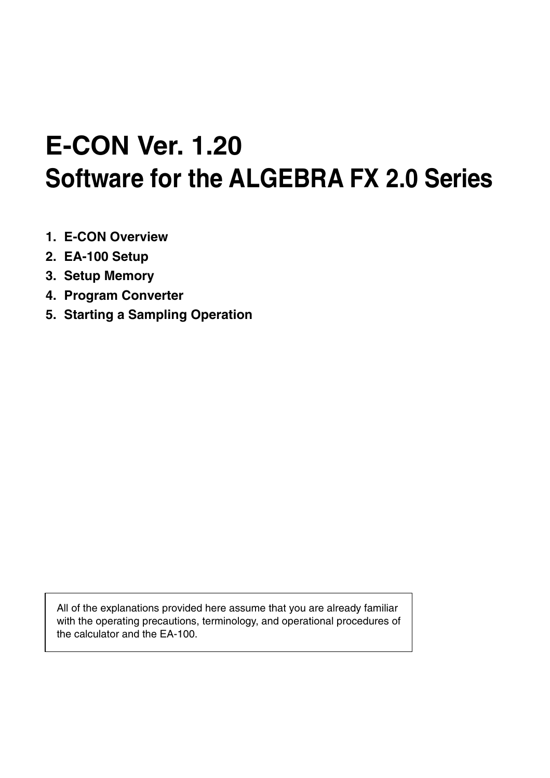# **E-CON Ver. 1.20 Software for the ALGEBRA FX 2.0 Series**

- **1. E-CON Overview**
- **2. EA-100 Setup**
- **3. Setup Memory**
- **4. Program Converter**
- **5. Starting a Sampling Operation**

All of the explanations provided here assume that you are already familiar with the operating precautions, terminology, and operational procedures of the calculator and the EA-100.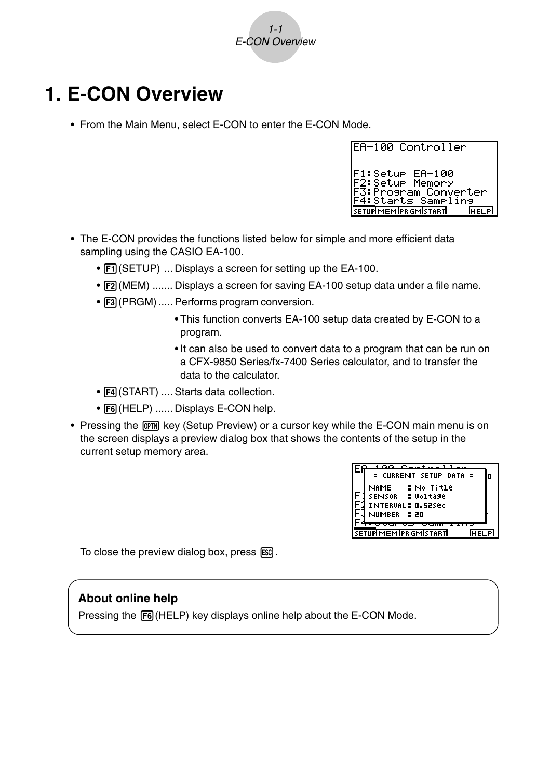

# **1. E-CON Overview**

• From the Main Menu, select E-CON to enter the E-CON Mode.

| <b>IEA-100 Controller</b>                                                                 |
|-------------------------------------------------------------------------------------------|
| F1∶Setur EA-100<br><b>IF2:Setup Memory</b>                                                |
| F3:Program Converter<br> F4:Starts Sampling<br><b>SETUPIMEM PRGMISTART</b><br><b>HELP</b> |

- The E-CON provides the functions listed below for simple and more efficient data sampling using the CASIO EA-100.
	- [F1] (SETUP) ... Displays a screen for setting up the EA-100.
	- F2 (MEM) ....... Displays a screen for saving EA-100 setup data under a file name.
	- [F3] (PRGM) ..... Performs program conversion.
		- This function converts EA-100 setup data created by E-CON to a program.
		- It can also be used to convert data to a program that can be run on a CFX-9850 Series/fx-7400 Series calculator, and to transfer the data to the calculator.
	- [F4] (START) .... Starts data collection.
	- [F6] (HELP) ...... Displays E-CON help.
- Pressing the  $\overline{prm}$  key (Setup Preview) or a cursor key while the E-CON main menu is on the screen displays a preview dialog box that shows the contents of the setup in the current setup memory area.



To close the preview dialog box, press  $\mathbb{F}$ .

#### **About online help**

Pressing the  $[FB]$  (HELP) key displays online help about the E-CON Mode.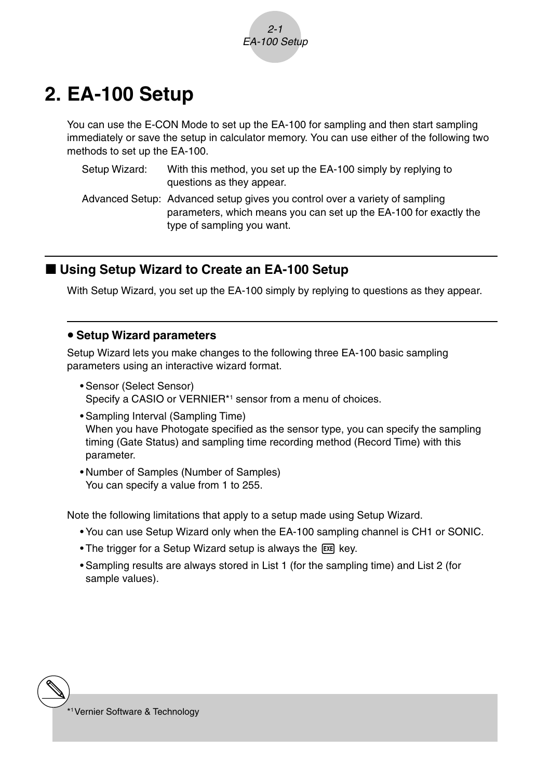

# **2. EA-100 Setup**

You can use the E-CON Mode to set up the EA-100 for sampling and then start sampling immediately or save the setup in calculator memory. You can use either of the following two methods to set up the EA-100.

| Setup Wizard: | With this method, you set up the EA-100 simply by replying to |
|---------------|---------------------------------------------------------------|
|               | questions as they appear.                                     |

Advanced Setup: Advanced setup gives you control over a variety of sampling parameters, which means you can set up the EA-100 for exactly the type of sampling you want.

#### ■ Using Setup Wizard to Create an EA-100 Setup

With Setup Wizard, you set up the EA-100 simply by replying to questions as they appear.

#### **• Setup Wizard parameters**

Setup Wizard lets you make changes to the following three EA-100 basic sampling parameters using an interactive wizard format.

- Sensor (Select Sensor) Specify a CASIO or VERNIER\*1 sensor from a menu of choices.
- Sampling Interval (Sampling Time) When you have Photogate specified as the sensor type, you can specify the sampling timing (Gate Status) and sampling time recording method (Record Time) with this parameter.
- Number of Samples (Number of Samples) You can specify a value from 1 to 255.

Note the following limitations that apply to a setup made using Setup Wizard.

- You can use Setup Wizard only when the EA-100 sampling channel is CH1 or SONIC.
- The trigger for a Setup Wizard setup is always the [EXE] key.
- Sampling results are always stored in List 1 (for the sampling time) and List 2 (for sample values).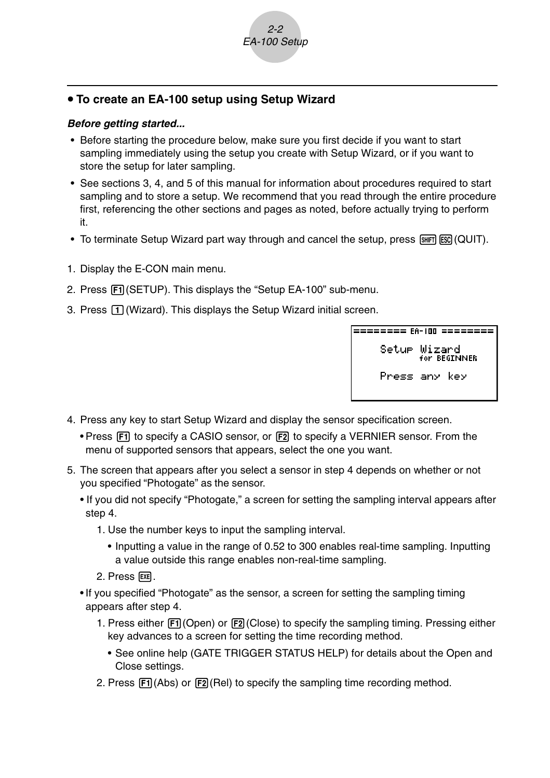

### **• To create an EA-100 setup using Setup Wizard**

#### **Before getting started...**

- Before starting the procedure below, make sure you first decide if you want to start sampling immediately using the setup you create with Setup Wizard, or if you want to store the setup for later sampling.
- See sections 3, 4, and 5 of this manual for information about procedures required to start sampling and to store a setup. We recommend that you read through the entire procedure first, referencing the other sections and pages as noted, before actually trying to perform it.
- To terminate Setup Wizard part way through and cancel the setup, press  $\boxed{\text{sum}}$  (QUIT).
- 1. Display the E-CON main menu.
- 2. Press Fil (SETUP). This displays the "Setup EA-100" sub-menu.
- 3. Press  $\Box$  (Wizard). This displays the Setup Wizard initial screen.

Setur Wizard for BEGINNER Press any key

- 4. Press any key to start Setup Wizard and display the sensor specification screen.
	- Press  $\overline{F1}$  to specify a CASIO sensor, or  $\overline{F2}$  to specify a VERNIER sensor. From the menu of supported sensors that appears, select the one you want.
- 5. The screen that appears after you select a sensor in step 4 depends on whether or not you specified "Photogate" as the sensor.
	- If you did not specify "Photogate," a screen for setting the sampling interval appears after step 4.
		- 1. Use the number keys to input the sampling interval.
			- Inputting a value in the range of 0.52 to 300 enables real-time sampling. Inputting a value outside this range enables non-real-time sampling.
		- 2. Press 图.
	- If you specified "Photogate" as the sensor, a screen for setting the sampling timing appears after step 4.
		- 1. Press either  $\overline{[F1]}$  (Open) or  $\overline{[F2]}$  (Close) to specify the sampling timing. Pressing either key advances to a screen for setting the time recording method.
			- See online help (GATE TRIGGER STATUS HELP) for details about the Open and Close settings.
		- 2. Press  $[F1]$ (Abs) or  $[F2]$ (Rel) to specify the sampling time recording method.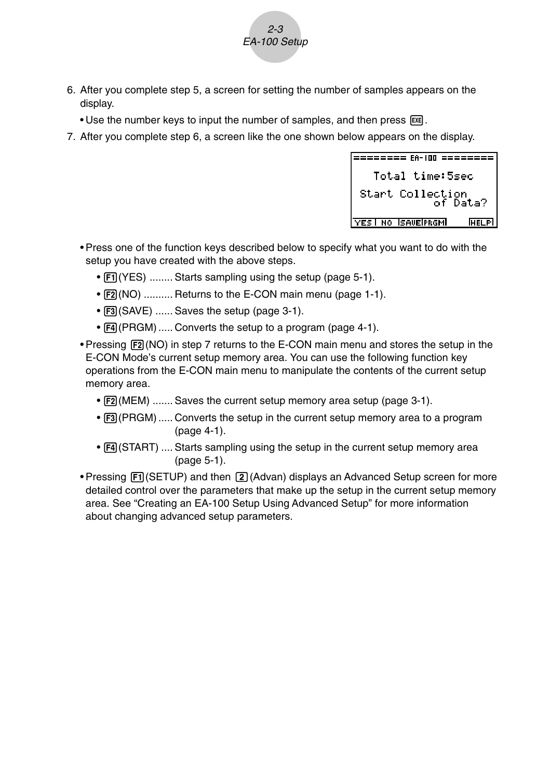6. After you complete step 5, a screen for setting the number of samples appears on the display.

2-3 EA-100 Setup

- Use the number keys to input the number of samples, and then press [EXE].
- 7. After you complete step 6, a screen like the one shown below appears on the display.



- Press one of the function keys described below to specify what you want to do with the setup you have created with the above steps.
	- [F1] (YES) ........ Starts sampling using the setup (page 5-1).
	- $F2(NO)$  .......... Returns to the E-CON main menu (page 1-1).
	- [F3] (SAVE) ...... Saves the setup (page 3-1).
	- [F4] (PRGM) ..... Converts the setup to a program (page 4-1).
- Pressing  $[FA]$  (NO) in step 7 returns to the E-CON main menu and stores the setup in the E-CON Mode's current setup memory area. You can use the following function key operations from the E-CON main menu to manipulate the contents of the current setup memory area.
	- [F2] (MEM) ....... Saves the current setup memory area setup (page 3-1).
	- [F3] (PRGM) ..... Converts the setup in the current setup memory area to a program (page 4-1).
	- $F4$ (START) .... Starts sampling using the setup in the current setup memory area (page 5-1).
- Pressing Fil (SETUP) and then [2] (Advan) displays an Advanced Setup screen for more detailed control over the parameters that make up the setup in the current setup memory area. See "Creating an EA-100 Setup Using Advanced Setup" for more information about changing advanced setup parameters.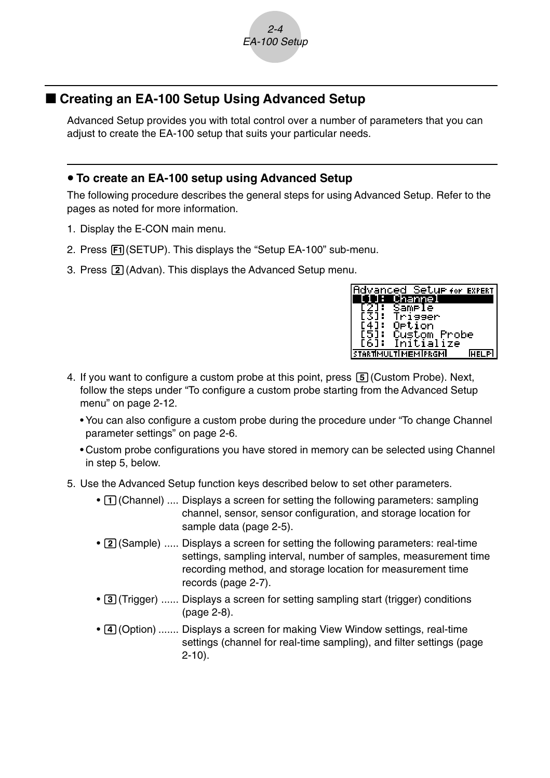

# ■ Creating an EA-100 Setup Using Advanced Setup

Advanced Setup provides you with total control over a number of parameters that you can adjust to create the EA-100 setup that suits your particular needs.

#### **• To create an EA-100 setup using Advanced Setup**

The following procedure describes the general steps for using Advanced Setup. Refer to the pages as noted for more information.

- 1. Display the E-CON main menu.
- 2. Press  $F1$ (SETUP). This displays the "Setup EA-100" sub-menu.
- 3. Press (2) (Advan). This displays the Advanced Setup menu.

| dvanced Set <u>urfor Expert</u> |             |
|---------------------------------|-------------|
| hannel                          |             |
| Sample                          |             |
| `igger                          |             |
| Ortion                          |             |
| Custom Probe                    |             |
| Initialize<br>F61:              |             |
| <b>STARTIMULTIMEMIPRGMI</b>     | <b>HELP</b> |

- 4. If you want to configure a custom probe at this point, press  $[5]$  (Custom Probe). Next, follow the steps under "To configure a custom probe starting from the Advanced Setup menu" on page 2-12.
	- You can also configure a custom probe during the procedure under "To change Channel parameter settings" on page 2-6.
	- Custom probe configurations you have stored in memory can be selected using Channel in step 5, below.
- 5. Use the Advanced Setup function keys described below to set other parameters.
	- [1] (Channel) .... Displays a screen for setting the following parameters: sampling channel, sensor, sensor configuration, and storage location for sample data (page 2-5).
	- [2] (Sample) ..... Displays a screen for setting the following parameters: real-time settings, sampling interval, number of samples, measurement time recording method, and storage location for measurement time records (page 2-7).
	- [3] (Trigger) ...... Displays a screen for setting sampling start (trigger) conditions (page 2-8).
	- (4) (Option) ....... Displays a screen for making View Window settings, real-time settings (channel for real-time sampling), and filter settings (page 2-10).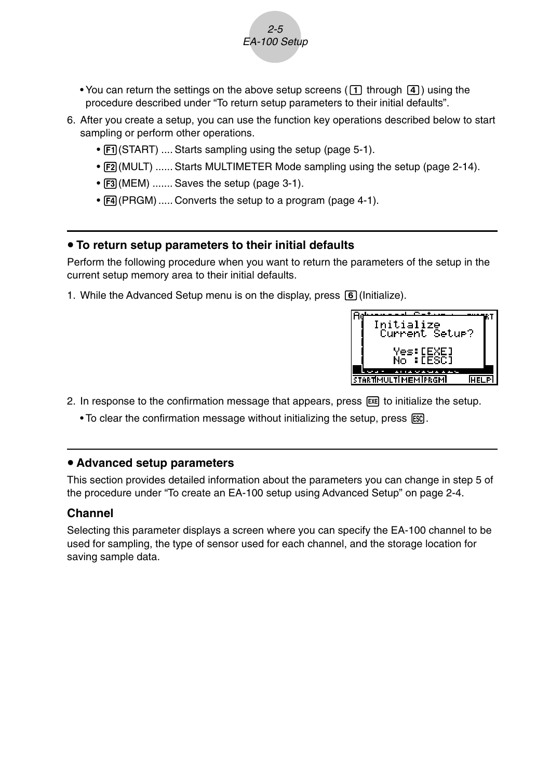• You can return the settings on the above setup screens ( $\pi$ ) through  $\pi$ ) using the procedure described under "To return setup parameters to their initial defaults".

2-5 EA-100 Setup

- 6. After you create a setup, you can use the function key operations described below to start sampling or perform other operations.
	- [F1] (START) .... Starts sampling using the setup (page 5-1).
	- [F2] (MULT) ...... Starts MULTIMETER Mode sampling using the setup (page 2-14).
	- F3 (MEM) ....... Saves the setup (page 3-1).
	- $FA$  (PRGM) ..... Converts the setup to a program (page 4-1).

#### **• To return setup parameters to their initial defaults**

Perform the following procedure when you want to return the parameters of the setup in the current setup memory area to their initial defaults.

1. While the Advanced Setup menu is on the display, press  $\boxed{6}$  (Initialize).



- 2. In response to the confirmation message that appears, press  $\mathbb{R}$  to initialize the setup.
	- To clear the confirmation message without initializing the setup, press [SSC].

#### **• Advanced setup parameters**

This section provides detailed information about the parameters you can change in step 5 of the procedure under "To create an EA-100 setup using Advanced Setup" on page 2-4.

#### **Channel**

Selecting this parameter displays a screen where you can specify the EA-100 channel to be used for sampling, the type of sensor used for each channel, and the storage location for saving sample data.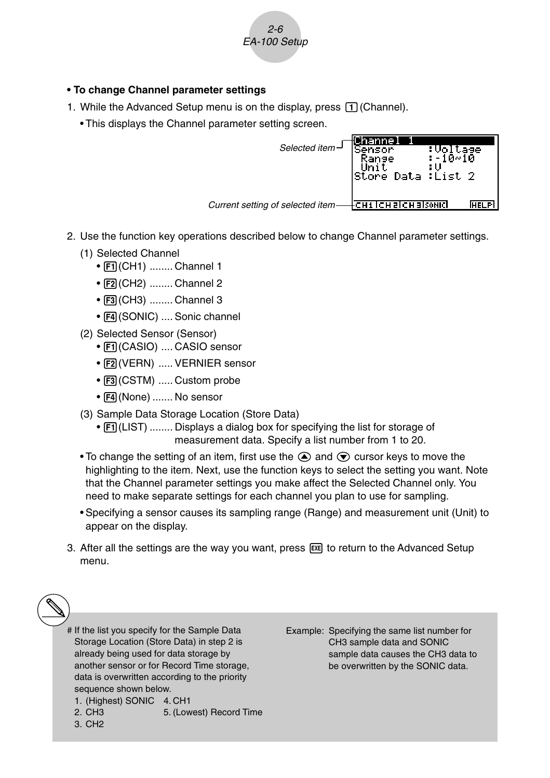

#### **• To change Channel parameter settings**

- 1. While the Advanced Setup menu is on the display, press  $\Box$  (Channel).
	- This displays the Channel parameter setting screen.

| Selected item $-$                 | hannel<br>Sensor<br>lStore Data :List 2 | :Voltage<br>:-10∾10 |        |
|-----------------------------------|-----------------------------------------|---------------------|--------|
| Current setting of selected item- | +сн1  сн 2  сн 3  sonic                 |                     | IHEI P |

- 2. Use the function key operations described below to change Channel parameter settings.
	- (1) Selected Channel
		- [F1] (CH1) ........ Channel 1
		- F2 (CH2) ........ Channel 2
		- F3 (CH3) ........ Channel 3
		- F4 (SONIC) .... Sonic channel
	- (2) Selected Sensor (Sensor)
		- FI(CASIO) .... CASIO sensor
		- F2 (VERN) ..... VERNIER sensor
		- [F3] (CSTM) ..... Custom probe
		- F4 (None) ....... No sensor
	- (3) Sample Data Storage Location (Store Data)
		- [F1] (LIST) ........ Displays a dialog box for specifying the list for storage of measurement data. Specify a list number from 1 to 20.
	- To change the setting of an item, first use the  $\bigcirc$  and  $\bigcirc$  cursor keys to move the highlighting to the item. Next, use the function keys to select the setting you want. Note that the Channel parameter settings you make affect the Selected Channel only. You need to make separate settings for each channel you plan to use for sampling.
	- Specifying a sensor causes its sampling range (Range) and measurement unit (Unit) to appear on the display.
- 3. After all the settings are the way you want, press  $[EE]$  to return to the Advanced Setup menu.

# If the list you specify for the Sample Data Storage Location (Store Data) in step 2 is already being used for data storage by another sensor or for Record Time storage, data is overwritten according to the priority sequence shown below.

- 1. (Highest) SONIC 4. CH1<br>2. CH3 5. (Low
- 5. (Lowest) Record Time
- 3. CH2

Example: Specifying the same list number for CH3 sample data and SONIC sample data causes the CH3 data to be overwritten by the SONIC data.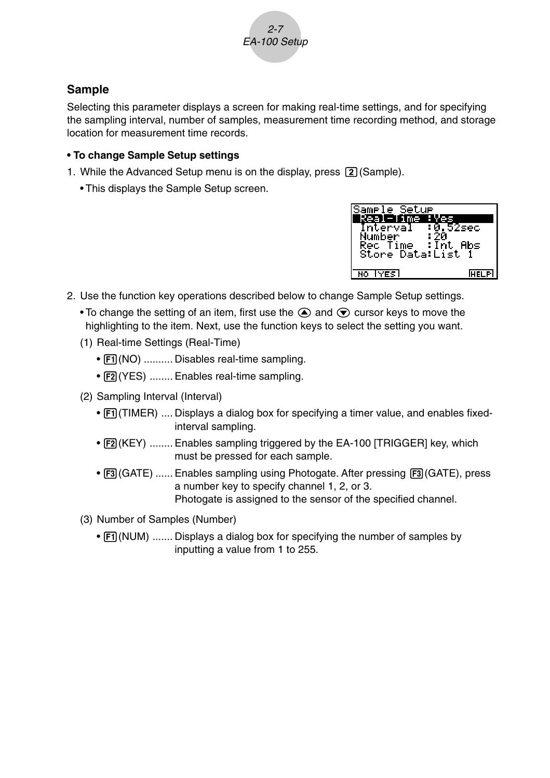

# **Sample**

Selecting this parameter displays a screen for making real-time settings, and for specifying the sampling interval, number of samples, measurement time recording method, and storage location for measurement time records.

#### **• To change Sample Setup settings**

- 1. While the Advanced Setup menu is on the display, press  $\boxed{2}$  (Sample).
	- This displays the Sample Setup screen.



- 2. Use the function key operations described below to change Sample Setup settings.
	- To change the setting of an item, first use the  $\bigcirc$  and  $\bigcirc$  cursor keys to move the highlighting to the item. Next, use the function keys to select the setting you want.
	- (1) Real-time Settings (Real-Time)
		- [F1] (NO) .......... Disables real-time sampling.
		- [F2] (YES) ........ Enables real-time sampling.
	- (2) Sampling Interval (Interval)
		- [F1] (TIMER) .... Displays a dialog box for specifying a timer value, and enables fixedinterval sampling.
		- $F2(KEY)$  ........ Enables sampling triggered by the EA-100 [TRIGGER] key, which must be pressed for each sample.
		- [3] (GATE) ...... Enables sampling using Photogate. After pressing [3] (GATE), press a number key to specify channel 1, 2, or 3. Photogate is assigned to the sensor of the specified channel.
	- (3) Number of Samples (Number)
		- [F1] (NUM) ....... Displays a dialog box for specifying the number of samples by inputting a value from 1 to 255.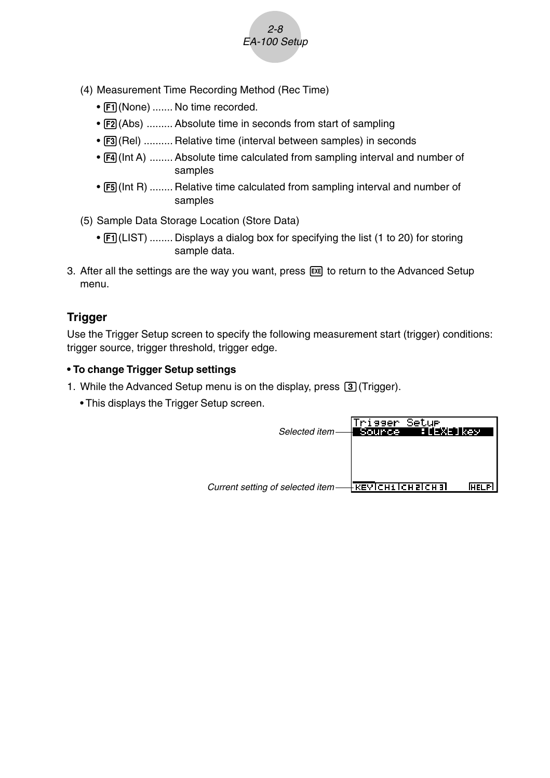

- (4) Measurement Time Recording Method (Rec Time)
	- [F1] (None) ....... No time recorded.
	- [F2] (Abs) ......... Absolute time in seconds from start of sampling
	- [F3] (Rel) .......... Relative time (interval between samples) in seconds
	- $F4$ (Int A) ........ Absolute time calculated from sampling interval and number of samples
	- [F5] (Int R) ........ Relative time calculated from sampling interval and number of samples
- (5) Sample Data Storage Location (Store Data)
	- [F1] (LIST) ........ Displays a dialog box for specifying the list (1 to 20) for storing sample data.
- 3. After all the settings are the way you want, press  $\mathbb{R}$  to return to the Advanced Setup menu.

## **Trigger**

Use the Trigger Setup screen to specify the following measurement start (trigger) conditions: trigger source, trigger threshold, trigger edge.

#### **• To change Trigger Setup settings**

- 1. While the Advanced Setup menu is on the display, press  $\boxed{3}$  (Trigger).
	- This displays the Trigger Setup screen.

| Selected item-                   | 'rigger Setup<br>Source | <b>All</b> EXEL key |  |
|----------------------------------|-------------------------|---------------------|--|
| Current setting of selected item |                         |                     |  |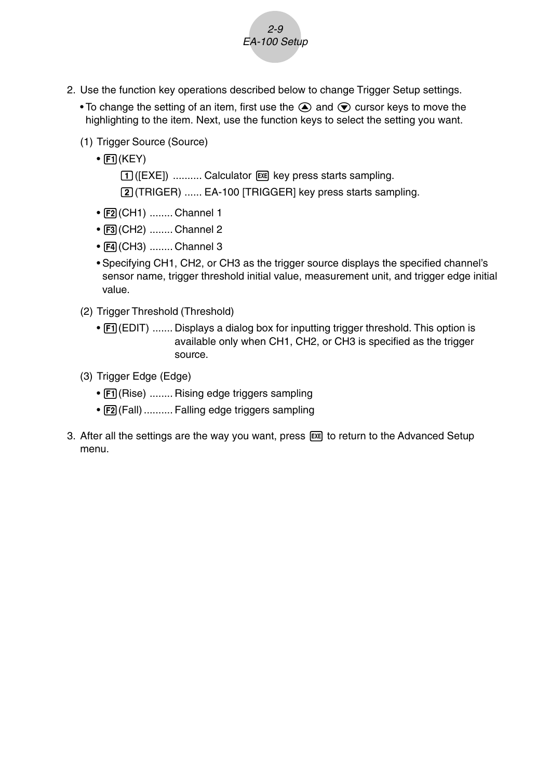- 2. Use the function key operations described below to change Trigger Setup settings.
	- To change the setting of an item, first use the  $\bigcirc$  and  $\bigcirc$  cursor keys to move the highlighting to the item. Next, use the function keys to select the setting you want.

2-9 EA-100 Setup

- (1) Trigger Source (Source)
	- $\bullet$   $\boxed{F1}$ (KEY)

[1] ([EXE]) .......... Calculator [ x ] key press starts sampling.

c(TRIGER) ...... EA-100 [TRIGGER] key press starts sampling.

- $\cdot$   $\boxed{F2}$ (CH1) ........ Channel 1
- F3 (CH2) ........ Channel 2
- $\bullet$   $\overline{F4}$ (CH3) ........ Channel 3
- Specifying CH1, CH2, or CH3 as the trigger source displays the specified channel's sensor name, trigger threshold initial value, measurement unit, and trigger edge initial value.
- (2) Trigger Threshold (Threshold)
	- [F1] (EDIT) ....... Displays a dialog box for inputting trigger threshold. This option is available only when CH1, CH2, or CH3 is specified as the trigger source.
- (3) Trigger Edge (Edge)
	- $F1$ (Rise) ........ Rising edge triggers sampling
	- [F2] (Fall) .......... Falling edge triggers sampling
- 3. After all the settings are the way you want, press [EXE] to return to the Advanced Setup menu.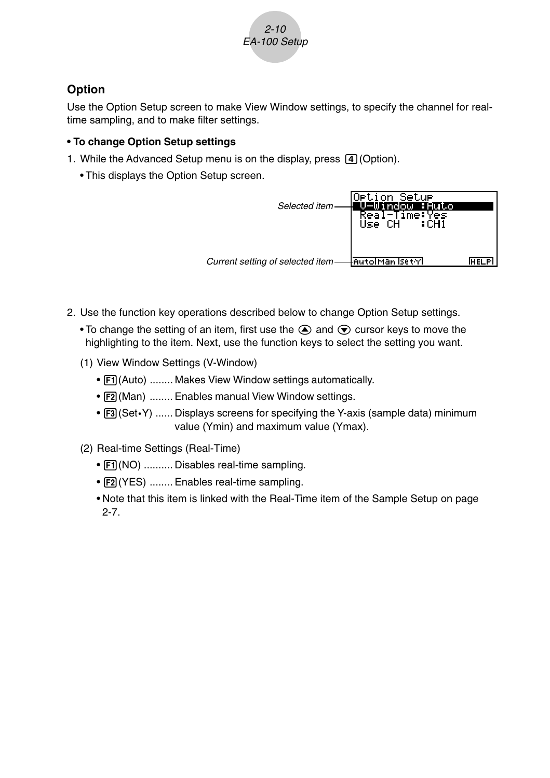

# **Option**

Use the Option Setup screen to make View Window settings, to specify the channel for realtime sampling, and to make filter settings.

#### **• To change Option Setup settings**

- 1. While the Advanced Setup menu is on the display, press  $\boxed{4}$  (Option).
	- This displays the Option Setup screen.

| Selected item                     | Option Setu <del>r</del><br>/-Window :Auto<br>Real-Time:Yes<br>Use CH :CH1 |        |
|-----------------------------------|----------------------------------------------------------------------------|--------|
| Current setting of selected item- | ⊣AutolMan Iset√l                                                           | stip . |

- 2. Use the function key operations described below to change Option Setup settings.
	- To change the setting of an item, first use the  $\bigcirc$  and  $\bigcirc$  cursor keys to move the highlighting to the item. Next, use the function keys to select the setting you want.
	- (1) View Window Settings (V-Window)
		- $F1$ (Auto) ........ Makes View Window settings automatically.
		- [F2] (Man) ........ Enables manual View Window settings.
		- [F3] (Set•Y) ...... Displays screens for specifying the Y-axis (sample data) minimum value (Ymin) and maximum value (Ymax).
	- (2) Real-time Settings (Real-Time)
		- [F1] (NO) .......... Disables real-time sampling.
		- [F2] (YES) ........ Enables real-time sampling.
		- Note that this item is linked with the Real-Time item of the Sample Setup on page 2-7.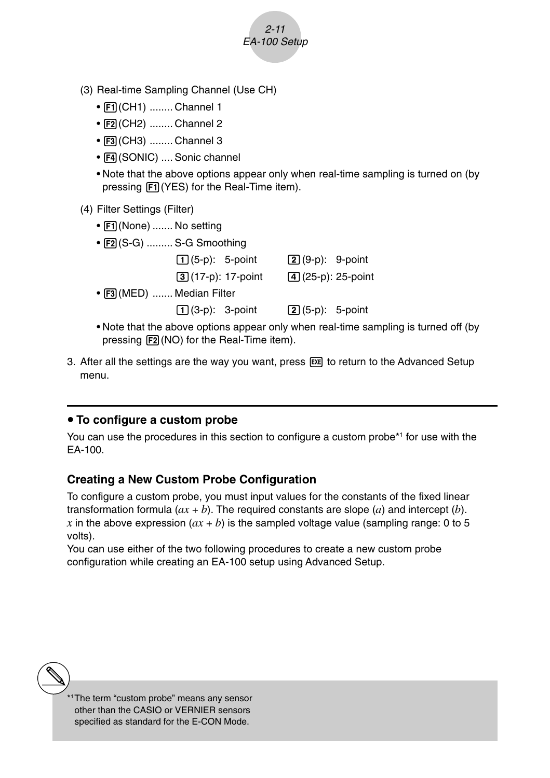- (3) Real-time Sampling Channel (Use CH)
	- Fil(CH1) ........ Channel 1
	- [F2] (CH2) ........ Channel 2
	- F3 (CH3) ........ Channel 3
	- F4 (SONIC) .... Sonic channel
	- Note that the above options appear only when real-time sampling is turned on (by pressing  $[FI]$  (YES) for the Real-Time item).

2-11 EA-100 Setup

- (4) Filter Settings (Filter)
	- Fil (None) ....... No setting
	- [F2] (S-G) ......... S-G Smoothing

|                             | $\lceil \cdot \rceil$ (5-p): 5-point | $[2] (9-p)$ : 9-point  |  |
|-----------------------------|--------------------------------------|------------------------|--|
|                             | $[3] (17-p)$ : 17-point              | $(4)(25-p)$ : 25-point |  |
| • [F3] (MED)  Median Filter |                                      |                        |  |
|                             |                                      |                        |  |
|                             |                                      |                        |  |

- Note that the above options appear only when real-time sampling is turned off (by pressing  $F2(NO)$  for the Real-Time item).
- 3. After all the settings are the way you want, press  $\overline{ex}$  to return to the Advanced Setup menu.

# **• To configure a custom probe**

You can use the procedures in this section to configure a custom probe\*1 for use with the EA-100.

# **Creating a New Custom Probe Configuration**

To configure a custom probe, you must input values for the constants of the fixed linear transformation formula  $(ax + b)$ . The required constants are slope  $(a)$  and intercept  $(b)$ . *x* in the above expression  $(ax + b)$  is the sampled voltage value (sampling range: 0 to 5 volts).

You can use either of the two following procedures to create a new custom probe configuration while creating an EA-100 setup using Advanced Setup.



\*1The term "custom probe" means any sensor other than the CASIO or VERNIER sensors specified as standard for the E-CON Mode.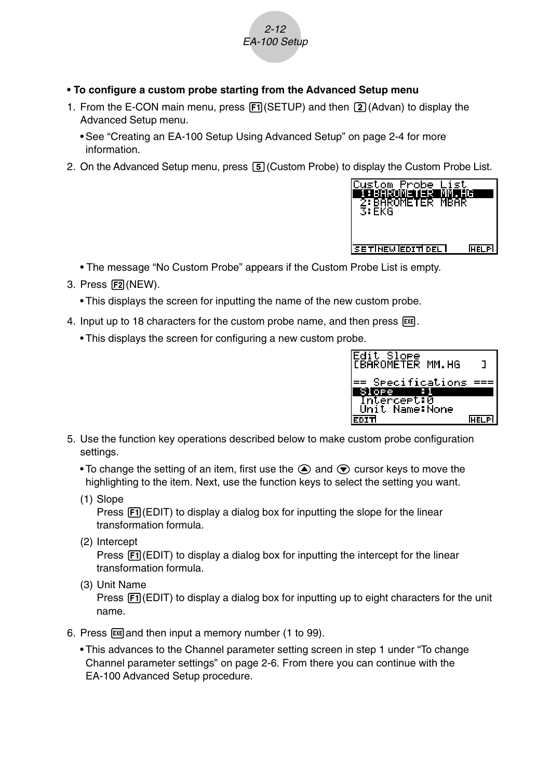

- **To configure a custom probe starting from the Advanced Setup menu**
- 1. From the E-CON main menu, press  $[FT](SETUP)$  and then  $[2]$  (Advan) to display the Advanced Setup menu.
	- See "Creating an EA-100 Setup Using Advanced Setup" on page 2-4 for more information.
- 2. On the Advanced Setup menu, press  $[5]$  (Custom Probe) to display the Custom Probe List.



- The message "No Custom Probe" appears if the Custom Probe List is empty.
- 3. Press [F2] (NEW).
	- This displays the screen for inputting the name of the new custom probe.
- 4. Input up to 18 characters for the custom probe name, and then press [EE].
	- This displays the screen for configuring a new custom probe.



- 5. Use the function key operations described below to make custom probe configuration settings.
	- To change the setting of an item, first use the  $\bigcirc$  and  $\bigcirc$  cursor keys to move the highlighting to the item. Next, use the function keys to select the setting you want.
	- (1) Slope

Press  $F1$ (EDIT) to display a dialog box for inputting the slope for the linear transformation formula.

(2) Intercept

Press  $\overline{F1}$ (EDIT) to display a dialog box for inputting the intercept for the linear transformation formula.

(3) Unit Name

Press  $[F1]$ (EDIT) to display a dialog box for inputting up to eight characters for the unit name.

- 6. Press  $Ex$  and then input a memory number (1 to 99).
	- This advances to the Channel parameter setting screen in step 1 under "To change Channel parameter settings" on page 2-6. From there you can continue with the EA-100 Advanced Setup procedure.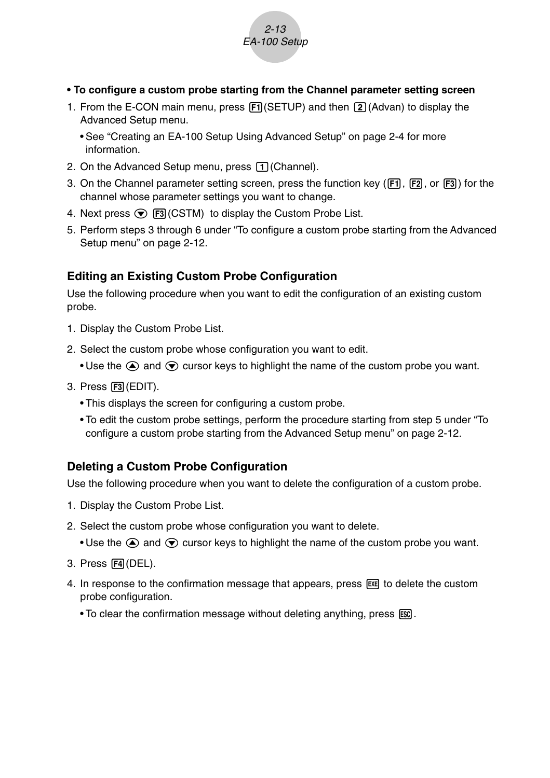

- **To configure a custom probe starting from the Channel parameter setting screen**
- 1. From the E-CON main menu, press  $[FT]$  (SETUP) and then  $[2]$  (Advan) to display the Advanced Setup menu.
	- See "Creating an EA-100 Setup Using Advanced Setup" on page 2-4 for more information.
- 2. On the Advanced Setup menu, press  $\Box$  (Channel).
- 3. On the Channel parameter setting screen, press the function key (F1), F2, or F3) for the channel whose parameter settings you want to change.
- 4. Next press  $\odot$  F3 (CSTM) to display the Custom Probe List.
- 5. Perform steps 3 through 6 under "To configure a custom probe starting from the Advanced Setup menu" on page 2-12.

## **Editing an Existing Custom Probe Configuration**

Use the following procedure when you want to edit the configuration of an existing custom probe.

- 1. Display the Custom Probe List.
- 2. Select the custom probe whose configuration you want to edit.
	- Use the  $\textcircled{\textsf{F}}$  and  $\textcircled{\textsf{F}}$  cursor keys to highlight the name of the custom probe you want.
- 3. Press F3 (EDIT).
	- This displays the screen for configuring a custom probe.
	- To edit the custom probe settings, perform the procedure starting from step 5 under "To configure a custom probe starting from the Advanced Setup menu" on page 2-12.

## **Deleting a Custom Probe Configuration**

Use the following procedure when you want to delete the configuration of a custom probe.

- 1. Display the Custom Probe List.
- 2. Select the custom probe whose configuration you want to delete.
	- Use the  $\bigcirc$  and  $\bigcirc$  cursor keys to highlight the name of the custom probe you want.
- 3. Press [4] (DEL).
- 4. In response to the confirmation message that appears, press  $\overline{ex}$  to delete the custom probe configuration.
	- To clear the confirmation message without deleting anything, press [SSC].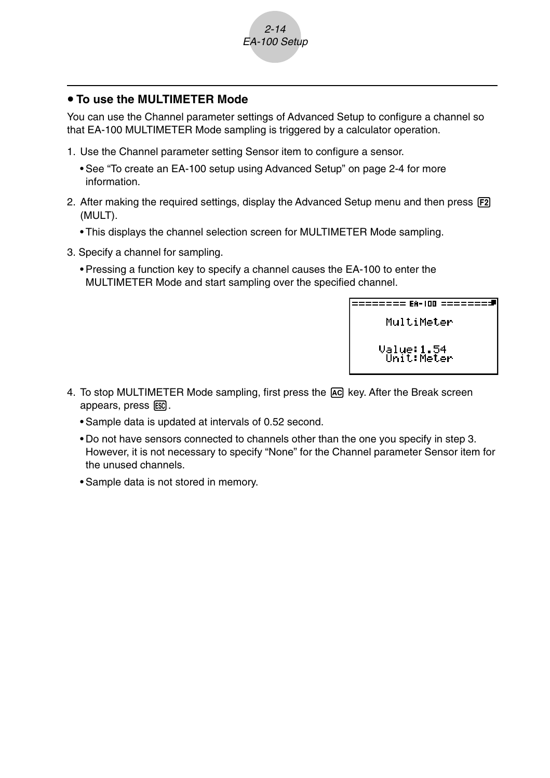

#### **• To use the MULTIMETER Mode**

You can use the Channel parameter settings of Advanced Setup to configure a channel so that EA-100 MULTIMETER Mode sampling is triggered by a calculator operation.

- 1. Use the Channel parameter setting Sensor item to configure a sensor.
	- See "To create an EA-100 setup using Advanced Setup" on page 2-4 for more information.
- 2. After making the required settings, display the Advanced Setup menu and then press [F2] (MULT).
	- This displays the channel selection screen for MULTIMETER Mode sampling.
- 3. Specify a channel for sampling.
	- Pressing a function key to specify a channel causes the EA-100 to enter the MULTIMETER Mode and start sampling over the specified channel.

MultiMeter

> Value: 1.54 **Ünit:Meter**

- 4. To stop MULTIMETER Mode sampling, first press the  $\overline{AC}$  key. After the Break screen appears, press ESC.
	- Sample data is updated at intervals of 0.52 second.
	- Do not have sensors connected to channels other than the one you specify in step 3. However, it is not necessary to specify "None" for the Channel parameter Sensor item for the unused channels.
	- Sample data is not stored in memory.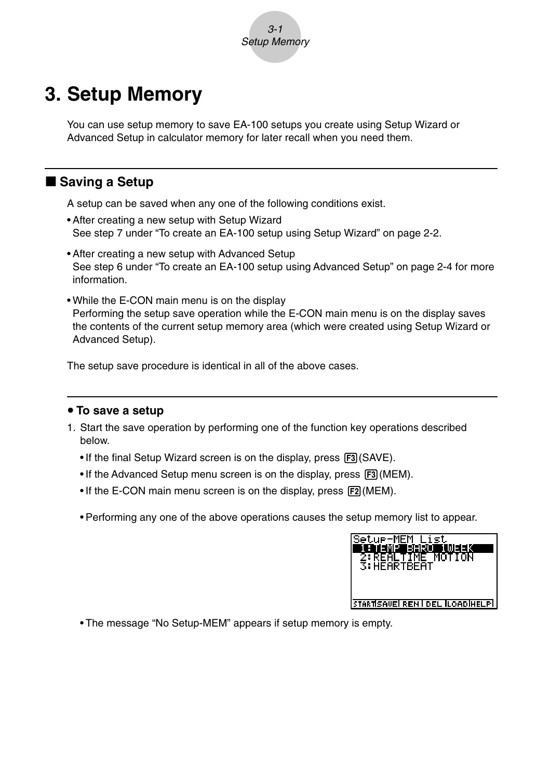

# **3. Setup Memory**

You can use setup memory to save EA-100 setups you create using Setup Wizard or Advanced Setup in calculator memory for later recall when you need them.

# ■ Saving a Setup

A setup can be saved when any one of the following conditions exist.

- After creating a new setup with Setup Wizard See step 7 under "To create an EA-100 setup using Setup Wizard" on page 2-2.
- After creating a new setup with Advanced Setup See step 6 under "To create an EA-100 setup using Advanced Setup" on page 2-4 for more information.
- While the E-CON main menu is on the display Performing the setup save operation while the E-CON main menu is on the display saves the contents of the current setup memory area (which were created using Setup Wizard or Advanced Setup).

The setup save procedure is identical in all of the above cases.

#### **• To save a setup**

- 1. Start the save operation by performing one of the function key operations described below.
	- $\bullet$  If the final Setup Wizard screen is on the display, press  $\boxed{F3}$  (SAVE).
	- If the Advanced Setup menu screen is on the display, press F3 (MEM).
	- If the E-CON main menu screen is on the display, press [F2] (MEM).
	- Performing any one of the above operations causes the setup memory list to appear.

| Setup-MEM List<br>H TEMPT<br>eeen<br>MEEK<br>2:REALTIME MOTION<br>3: HEARTBEAT |
|--------------------------------------------------------------------------------|
|                                                                                |
|                                                                                |
| STARTISAVE REN I DEL ILOADIHELPI                                               |

• The message "No Setup-MEM" appears if setup memory is empty.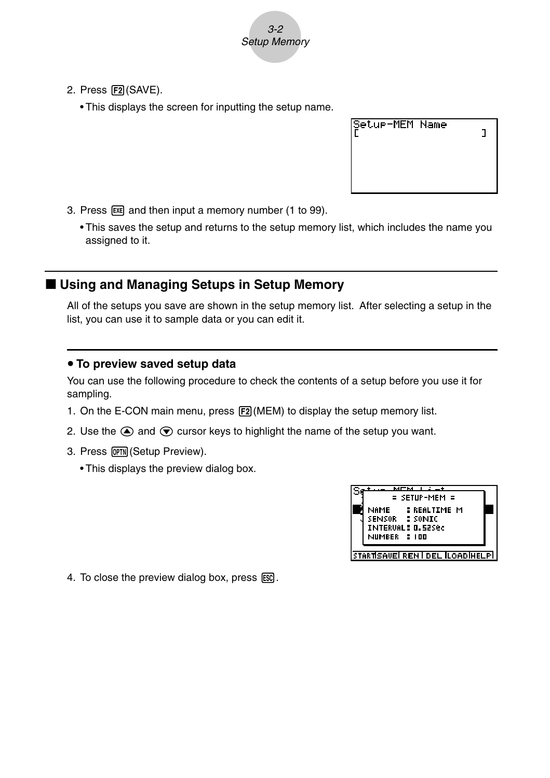

- 2. Press [F2] (SAVE).
	- This displays the screen for inputting the setup name.

| Setur-MEM Name |  |
|----------------|--|
|                |  |

- 3. Press  $Ex$  and then input a memory number (1 to 99).
	- This saves the setup and returns to the setup memory list, which includes the name you assigned to it.

## **E** Using and Managing Setups in Setup Memory

All of the setups you save are shown in the setup memory list. After selecting a setup in the list, you can use it to sample data or you can edit it.

#### **• To preview saved setup data**

You can use the following procedure to check the contents of a setup before you use it for sampling.

- 1. On the E-CON main menu, press [F2] (MEM) to display the setup memory list.
- 2. Use the  $\bigcirc$  and  $\bigcirc$  cursor keys to highlight the name of the setup you want.
- 3. Press [OPTN] (Setup Preview).
	- This displays the preview dialog box.

| мпм                              |  |
|----------------------------------|--|
| = SETUP-MEM =                    |  |
| NAME : REALTIME M                |  |
| SENSOR : SONIC                   |  |
| <b>INTERVAL: 0.52Sec</b>         |  |
| NUMBER : 100                     |  |
|                                  |  |
| STARTISAVE REN I DEL ILOADIHELPI |  |

4. To close the preview dialog box, press  $\overline{ESC}$ .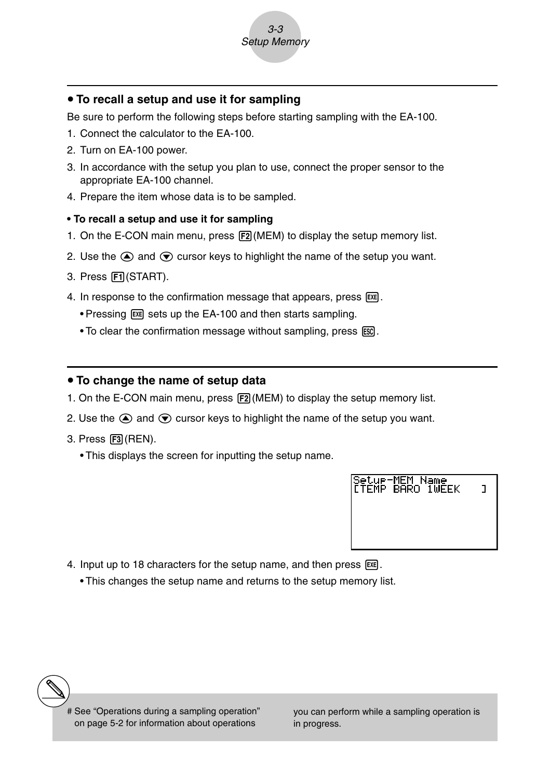

#### **• To recall a setup and use it for sampling**

Be sure to perform the following steps before starting sampling with the EA-100.

- 1. Connect the calculator to the EA-100.
- 2. Turn on EA-100 power.
- 3. In accordance with the setup you plan to use, connect the proper sensor to the appropriate EA-100 channel.
- 4. Prepare the item whose data is to be sampled.

#### **• To recall a setup and use it for sampling**

- 1. On the E-CON main menu, press  $[**F2**]$  (MEM) to display the setup memory list.
- 2. Use the  $\textcircled{a}$  and  $\textcircled{b}$  cursor keys to highlight the name of the setup you want.
- 3. Press Fil(START).
- 4. In response to the confirmation message that appears, press [EXE].
	- Pressing  $Ex$  sets up the EA-100 and then starts sampling.
	- To clear the confirmation message without sampling, press ESC.

#### • To change the name of setup data

- 1. On the E-CON main menu, press [F2] (MEM) to display the setup memory list.
- 2. Use the  $\textcircled{2}$  and  $\textcircled{3}$  cursor keys to highlight the name of the setup you want.
- 3. Press [F3] (REN).
	- This displays the screen for inputting the setup name.



- 4. Input up to 18 characters for the setup name, and then press  $ex.$ 
	- This changes the setup name and returns to the setup memory list.

you can perform while a sampling operation is in progress.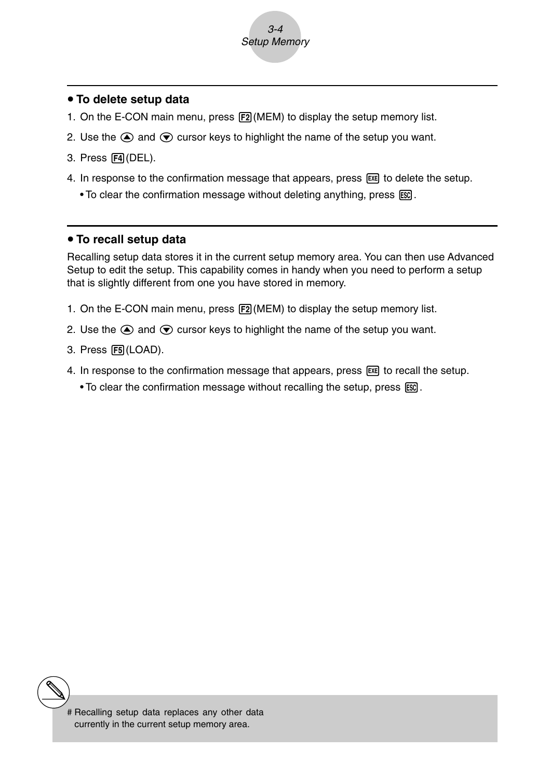

#### **• To delete setup data**

- 1. On the E-CON main menu, press  $F2$ (MEM) to display the setup memory list.
- 2. Use the  $\bigcirc$  and  $\bigcirc$  cursor keys to highlight the name of the setup you want.
- 3. Press F4 (DEL).
- 4. In response to the confirmation message that appears, press [EE] to delete the setup.
	- To clear the confirmation message without deleting anything, press [SSC].

#### **• To recall setup data**

Recalling setup data stores it in the current setup memory area. You can then use Advanced Setup to edit the setup. This capability comes in handy when you need to perform a setup that is slightly different from one you have stored in memory.

- 1. On the E-CON main menu, press  $F2(MEM)$  to display the setup memory list.
- 2. Use the  $\textcircled{a}$  and  $\textcircled{b}$  cursor keys to highlight the name of the setup you want.
- 3. Press [F5] (LOAD).
- 4. In response to the confirmation message that appears, press  $\mathbb{R}$  to recall the setup.
	- To clear the confirmation message without recalling the setup, press [SC].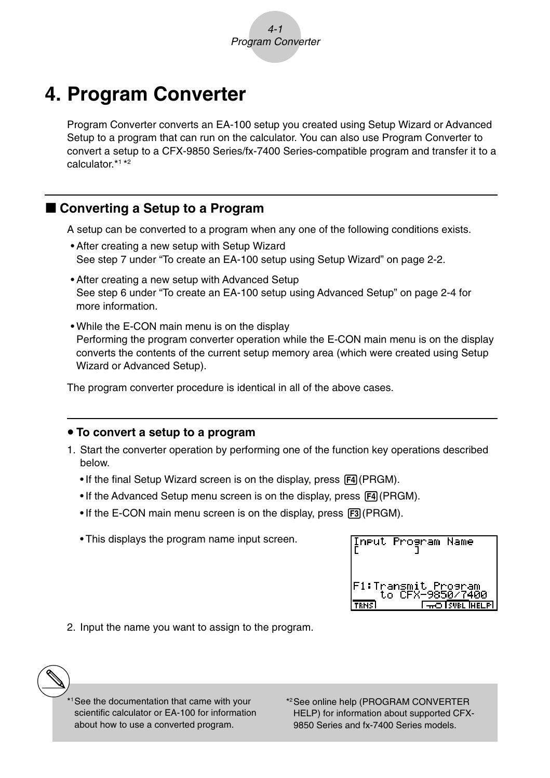# **4. Program Converter**

Program Converter converts an EA-100 setup you created using Setup Wizard or Advanced Setup to a program that can run on the calculator. You can also use Program Converter to convert a setup to a CFX-9850 Series/fx-7400 Series-compatible program and transfer it to a calculator<sup>\*1\*2</sup>

# k **Converting a Setup to a Program**

A setup can be converted to a program when any one of the following conditions exists.

- After creating a new setup with Setup Wizard See step 7 under "To create an EA-100 setup using Setup Wizard" on page 2-2.
- After creating a new setup with Advanced Setup See step 6 under "To create an EA-100 setup using Advanced Setup" on page 2-4 for more information.
- While the E-CON main menu is on the display Performing the program converter operation while the E-CON main menu is on the display converts the contents of the current setup memory area (which were created using Setup Wizard or Advanced Setup).

The program converter procedure is identical in all of the above cases.

#### **• To convert a setup to a program**

- 1. Start the converter operation by performing one of the function key operations described below.
	- If the final Setup Wizard screen is on the display, press  $F4$  (PRGM).
	- If the Advanced Setup menu screen is on the display, press  $F4$  (PRGM).
	- If the E-CON main menu screen is on the display, press  $F3$  (PRGM).
	- This displays the program name input screen.



2. Input the name you want to assign to the program.

<sup>1</sup>See the documentation that came with your scientific calculator or EA-100 for information about how to use a converted program.

\*2See online help (PROGRAM CONVERTER HELP) for information about supported CFX-9850 Series and fx-7400 Series models.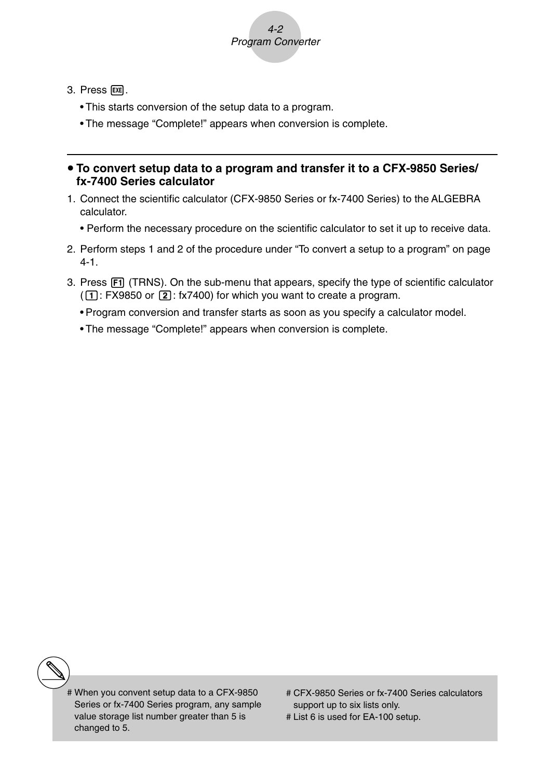

- $3.$  Press  $Ex$  $.$ 
	- This starts conversion of the setup data to a program.
	- The message "Complete!" appears when conversion is complete.

#### **• To convert setup data to a program and transfer it to a CFX-9850 Series/ fx-7400 Series calculator**

- 1. Connect the scientific calculator (CFX-9850 Series or fx-7400 Series) to the ALGEBRA calculator.
	- Perform the necessary procedure on the scientific calculator to set it up to receive data.
- 2. Perform steps 1 and 2 of the procedure under "To convert a setup to a program" on page 4-1.
- 3. Press  $\overline{F1}$  (TRNS). On the sub-menu that appears, specify the type of scientific calculator  $(\overline{1}]$ : FX9850 or  $\overline{2}$ : fx7400) for which you want to create a program.
	- Program conversion and transfer starts as soon as you specify a calculator model.
	- The message "Complete!" appears when conversion is complete.

- # When you convent setup data to a CFX-9850 Series or fx-7400 Series program, any sample value storage list number greater than 5 is changed to 5.
- # CFX-9850 Series or fx-7400 Series calculators support up to six lists only.
- # List 6 is used for EA-100 setup.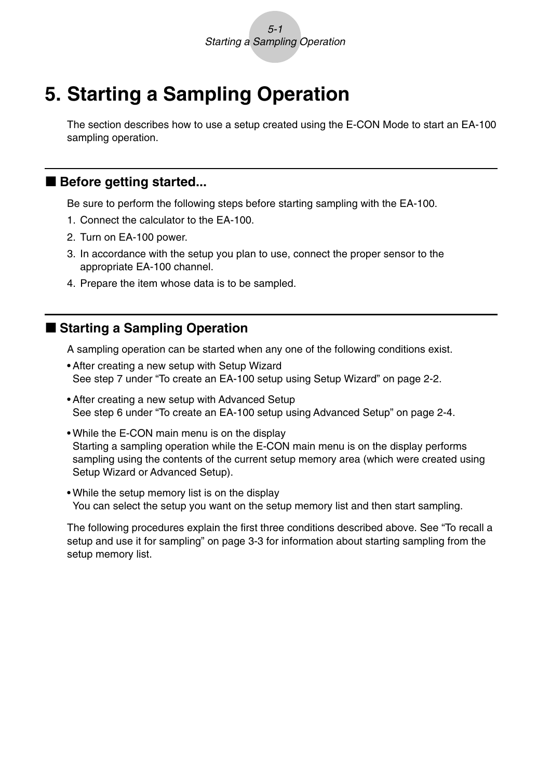# **5. Starting a Sampling Operation**

The section describes how to use a setup created using the E-CON Mode to start an EA-100 sampling operation.

# **Before getting started...**

Be sure to perform the following steps before starting sampling with the EA-100.

- 1. Connect the calculator to the EA-100.
- 2. Turn on EA-100 power.
- 3. In accordance with the setup you plan to use, connect the proper sensor to the appropriate EA-100 channel.
- 4. Prepare the item whose data is to be sampled.

# ■ Starting a Sampling Operation

A sampling operation can be started when any one of the following conditions exist.

- After creating a new setup with Setup Wizard See step 7 under "To create an EA-100 setup using Setup Wizard" on page 2-2.
- After creating a new setup with Advanced Setup See step 6 under "To create an EA-100 setup using Advanced Setup" on page 2-4.
- While the E-CON main menu is on the display Starting a sampling operation while the E-CON main menu is on the display performs sampling using the contents of the current setup memory area (which were created using Setup Wizard or Advanced Setup).
- While the setup memory list is on the display You can select the setup you want on the setup memory list and then start sampling.

The following procedures explain the first three conditions described above. See "To recall a setup and use it for sampling" on page 3-3 for information about starting sampling from the setup memory list.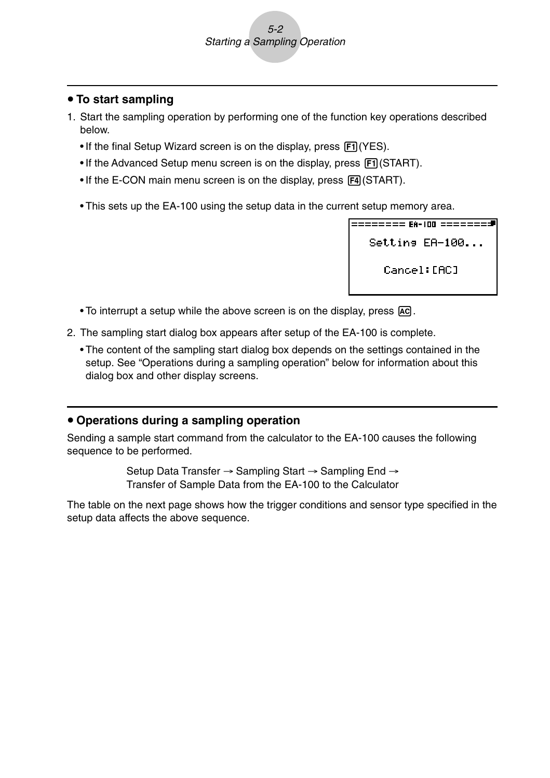### **• To start sampling**

- 1. Start the sampling operation by performing one of the function key operations described below.
	- $\bullet$  If the final Setup Wizard screen is on the display, press  $\overline{[F1]}$  (YES).
	- If the Advanced Setup menu screen is on the display, press Fil (START).
	- If the E-CON main menu screen is on the display, press [F4] (START).
	- This sets up the EA-100 using the setup data in the current setup memory area.

```
Settins EA-100...
Cancel: [AC]
```
- To interrupt a setup while the above screen is on the display, press  $\overline{AC}$ .
- 2. The sampling start dialog box appears after setup of the EA-100 is complete.
	- The content of the sampling start dialog box depends on the settings contained in the setup. See "Operations during a sampling operation" below for information about this dialog box and other display screens.

#### **• Operations during a sampling operation**

Sending a sample start command from the calculator to the EA-100 causes the following sequence to be performed.

> Setup Data Transfer → Sampling Start → Sampling End → Transfer of Sample Data from the EA-100 to the Calculator

The table on the next page shows how the trigger conditions and sensor type specified in the setup data affects the above sequence.